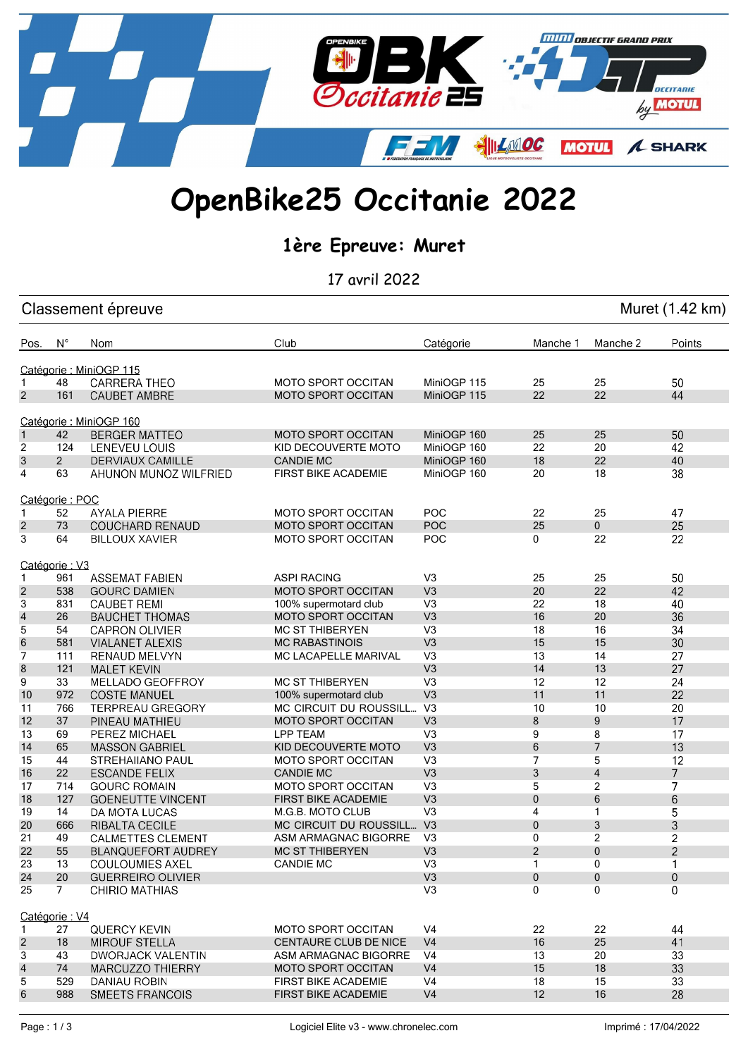

## OpenBike25 Occitanie 2022

1ère Epreuve: Muret

17 avril 2022

| Muret (1.42 km)<br>Classement épreuve |                      |                                                       |                                                  |                                  |                  |                     |                |
|---------------------------------------|----------------------|-------------------------------------------------------|--------------------------------------------------|----------------------------------|------------------|---------------------|----------------|
| Pos.                                  | $N^{\circ}$          | Nom                                                   | Club                                             | Catégorie                        | Manche 1         | Manche 2            | Points         |
|                                       |                      | Catégorie : MiniOGP 115                               |                                                  |                                  |                  |                     |                |
| $\mathbf{1}$                          | 48                   | <b>CARRERA THEO</b>                                   | <b>MOTO SPORT OCCITAN</b>                        | MiniOGP 115                      | 25               | 25                  | 50             |
| $\overline{2}$                        | 161                  | <b>CAUBET AMBRE</b>                                   | <b>MOTO SPORT OCCITAN</b>                        | MiniOGP 115                      | 22               | 22                  | 44             |
|                                       |                      |                                                       |                                                  |                                  |                  |                     |                |
|                                       |                      | Catégorie : MiniOGP 160                               |                                                  |                                  |                  |                     |                |
| $\mathbf{1}$                          | 42                   | <b>BERGER MATTEO</b>                                  | <b>MOTO SPORT OCCITAN</b>                        | MiniOGP 160                      | 25               | 25                  | 50             |
| $\overline{c}$                        | 124                  | LENEVEU LOUIS                                         | KID DECOUVERTE MOTO                              | MiniOGP 160                      | 22               | 20                  | 42             |
| 3                                     | $\overline{2}$       | <b>DERVIAUX CAMILLE</b>                               | <b>CANDIE MC</b>                                 | MiniOGP 160                      | 18               | 22                  | 40             |
| 4                                     | 63                   | AHUNON MUNOZ WILFRIED                                 | <b>FIRST BIKE ACADEMIE</b>                       | MiniOGP 160                      | 20               | 18                  | 38             |
|                                       | Catégorie: POC       |                                                       |                                                  |                                  |                  |                     |                |
| $\mathbf{1}$                          | 52                   | <b>AYALA PIERRE</b>                                   | <b>MOTO SPORT OCCITAN</b>                        | POC                              | 22               | 25                  | 47             |
| $\overline{2}$                        | 73                   | <b>COUCHARD RENAUD</b>                                | <b>MOTO SPORT OCCITAN</b>                        | POC                              | 25               | $\mathbf 0$         | 25             |
| 3                                     | 64                   | <b>BILLOUX XAVIER</b>                                 | <b>MOTO SPORT OCCITAN</b>                        | <b>POC</b>                       | 0                | 22                  | 22             |
|                                       |                      |                                                       |                                                  |                                  |                  |                     |                |
|                                       | Catégorie: V3<br>961 | <b>ASSEMAT FABIEN</b>                                 | <b>ASPI RACING</b>                               | V <sub>3</sub>                   | 25               | 25                  | 50             |
| $\mathbf{1}$                          |                      |                                                       |                                                  | V <sub>3</sub>                   | 20               | 22                  | 42             |
| $\overline{2}$                        | 538                  | <b>GOURC DAMIEN</b>                                   | <b>MOTO SPORT OCCITAN</b>                        | V <sub>3</sub>                   | 22               | 18                  |                |
| 3                                     | 831                  | <b>CAUBET REMI</b>                                    | 100% supermotard club                            | V <sub>3</sub>                   | 16               | 20                  | 40<br>36       |
| $\overline{4}$                        | 26                   | <b>BAUCHET THOMAS</b>                                 | <b>MOTO SPORT OCCITAN</b>                        |                                  |                  |                     |                |
| 5                                     | 54                   | <b>CAPRON OLIVIER</b>                                 | <b>MC ST THIBERYEN</b>                           | V <sub>3</sub><br>V <sub>3</sub> | 18               | 16<br>15            | 34             |
| 6                                     | 581                  | <b>VIALANET ALEXIS</b>                                | <b>MC RABASTINOIS</b>                            | V <sub>3</sub>                   | 15               | 14                  | 30             |
| 7                                     | 111                  | <b>RENAUD MELVYN</b>                                  | <b>MC LACAPELLE MARIVAL</b>                      |                                  | 13               | 13                  | 27<br>27       |
| 8<br>9                                | 121<br>33            | <b>MALET KEVIN</b>                                    | <b>MC ST THIBERYEN</b>                           | V <sub>3</sub><br>V <sub>3</sub> | 14<br>12         | 12                  | 24             |
|                                       | 972                  | MELLADO GEOFFROY<br><b>COSTE MANUEL</b>               |                                                  | V <sub>3</sub>                   | 11               | 11                  | 22             |
| 10                                    |                      |                                                       | 100% supermotard club                            | V <sub>3</sub>                   | 10               | 10                  | 20             |
| 11<br>12                              | 766<br>37            | <b>TERPREAU GREGORY</b>                               | MC CIRCUIT DU ROUSSILL                           | V <sub>3</sub>                   | 8                | 9                   | 17             |
| 13                                    | 69                   | PINEAU MATHIEU<br>PEREZ MICHAEL                       | MOTO SPORT OCCITAN<br>LPP TEAM                   | V <sub>3</sub>                   | 9                | 8                   | 17             |
|                                       |                      |                                                       |                                                  | V <sub>3</sub>                   |                  | $\overline{7}$      | 13             |
| 14                                    | 65<br>44             | <b>MASSON GABRIEL</b>                                 | KID DECOUVERTE MOTO<br><b>MOTO SPORT OCCITAN</b> | V <sub>3</sub>                   | 6<br>7           | 5                   | 12             |
| 15                                    |                      | STREHAIIANO PAUL                                      | <b>CANDIE MC</b>                                 | V <sub>3</sub>                   |                  |                     | $\overline{7}$ |
| 16                                    | 22                   | <b>ESCANDE FELIX</b><br><b>GOURC ROMAIN</b>           | <b>MOTO SPORT OCCITAN</b>                        | V <sub>3</sub>                   | 3                | $\overline{4}$      | $\overline{7}$ |
| 17<br>18                              | 714<br>127           |                                                       | <b>FIRST BIKE ACADEMIE</b>                       | V <sub>3</sub>                   | 5<br>$\mathbf 0$ | $\overline{c}$<br>6 |                |
|                                       | 14                   | <b>GOENEUTTE VINCENT</b><br>DA MOTA LUCAS             | M.G.B. MOTO CLUB                                 | V <sub>3</sub>                   | 4                | 1                   | 6<br>5         |
| 19                                    |                      |                                                       | MC CIRCUIT DU ROUSSILL                           | V <sub>3</sub>                   |                  |                     |                |
| 20<br>21                              | 666<br>49            | <b>RIBALTA CECILE</b>                                 | ASM ARMAGNAC BIGORRE                             | V <sub>3</sub>                   | $\mathbf 0$<br>0 | 3<br>2              | 3<br>2         |
| 22                                    | 55                   | <b>CALMETTES CLEMENT</b><br><b>BLANQUEFORT AUDREY</b> | <b>MC ST THIBERYEN</b>                           | V <sub>3</sub>                   | $\overline{2}$   | $\Omega$            | $\overline{c}$ |
|                                       |                      |                                                       |                                                  |                                  |                  |                     |                |
| 23<br>24                              | 13<br>20             | COULOUMIES AXEL<br><b>GUERREIRO OLIVIER</b>           | CANDIE MC                                        | V3<br>V3                         | 1<br>0           | U<br>0              | 1<br>$\bf{0}$  |
| 25                                    | $\overline{7}$       | <b>CHIRIO MATHIAS</b>                                 |                                                  | V <sub>3</sub>                   | $\Omega$         | $\Omega$            | $\overline{0}$ |
|                                       |                      |                                                       |                                                  |                                  |                  |                     |                |
|                                       | Catégorie: V4        |                                                       |                                                  |                                  |                  |                     |                |
| $\mathbf{1}$                          | 27                   | <b>QUERCY KEVIN</b>                                   | <b>MOTO SPORT OCCITAN</b>                        | V <sub>4</sub>                   | 22               | 22                  | 44             |
| $\overline{2}$                        | 18                   | <b>MIROUF STELLA</b>                                  | <b>CENTAURE CLUB DE NICE</b>                     | V <sub>4</sub>                   | 16               | 25                  | 41             |
| 3                                     | 43                   | <b>DWORJACK VALENTIN</b>                              | ASM ARMAGNAC BIGORRE                             | V4                               | 13               | 20                  | 33             |
| $\overline{\mathcal{A}}$              | 74                   | MARCUZZO THIERRY                                      | <b>MOTO SPORT OCCITAN</b>                        | V <sub>4</sub>                   | 15               | 18                  | 33             |
| 5                                     | 529                  | DANIAU ROBIN                                          | FIRST BIKE ACADEMIE                              | V <sub>4</sub>                   | 18               | 15                  | 33             |
| 6                                     | 988                  | SMEETS FRANCOIS                                       | FIRST BIKE ACADEMIE                              | V <sub>4</sub>                   | 12               | 16                  | 28             |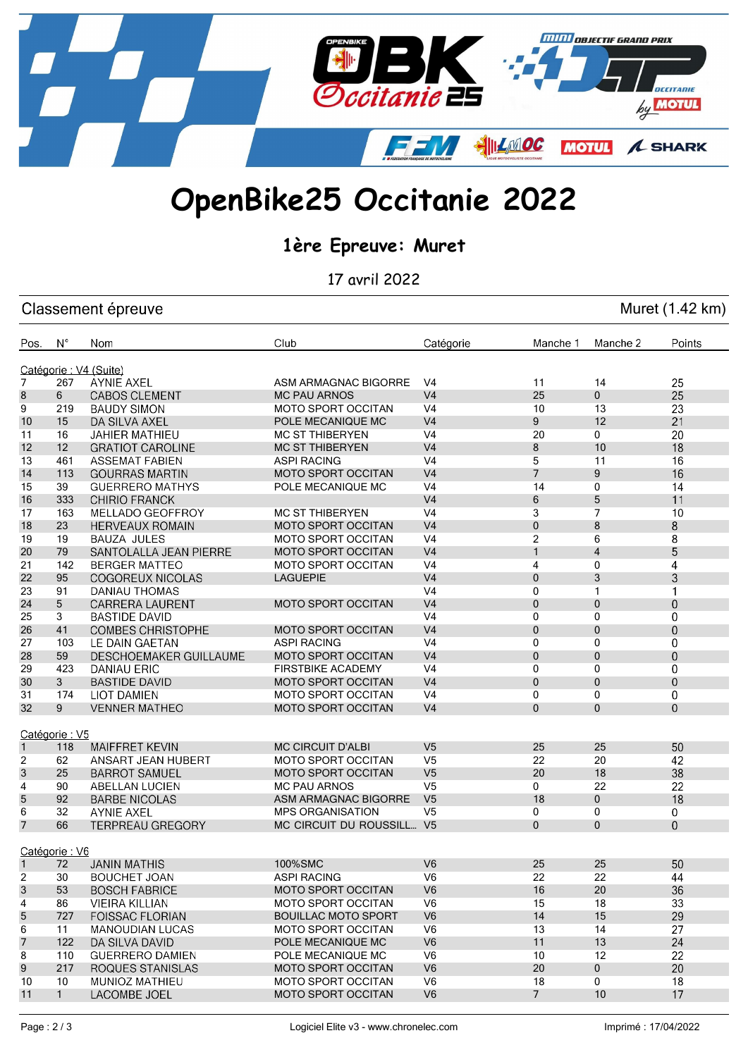

## OpenBike25 Occitanie 2022

## 1ère Epreuve: Muret

17 avril 2022

| Muret (1.42 km)<br>Classement épreuve |               |                          |                            |                |                |                |                |
|---------------------------------------|---------------|--------------------------|----------------------------|----------------|----------------|----------------|----------------|
| Pos.                                  | $N^{\circ}$   | Nom                      | Club                       | Catégorie      | Manche 1       | Manche 2       | Points         |
|                                       |               | Catégorie : V4 (Suite)   |                            |                |                |                |                |
| $\overline{7}$                        | 267           | <b>AYNIE AXEL</b>        | ASM ARMAGNAC BIGORRE       | V4             | 11             | 14             | 25             |
| 8                                     | 6             | <b>CABOS CLEMENT</b>     | <b>MC PAU ARNOS</b>        | V <sub>4</sub> | 25             | 0              | 25             |
| 9                                     | 219           | <b>BAUDY SIMON</b>       | <b>MOTO SPORT OCCITAN</b>  | V <sub>4</sub> | 10             | 13             | 23             |
| 10                                    | 15            | DA SILVA AXEL            | POLE MECANIQUE MC          | V <sub>4</sub> | 9              | 12             | 21             |
| 11                                    | 16            | <b>JAHIER MATHIEU</b>    | <b>MC ST THIBERYEN</b>     | V <sub>4</sub> | 20             | 0              | 20             |
| 12                                    | 12            | <b>GRATIOT CAROLINE</b>  | <b>MC ST THIBERYEN</b>     | V <sub>4</sub> | 8              | 10             | 18             |
| 13                                    | 461           | <b>ASSEMAT FABIEN</b>    | <b>ASPI RACING</b>         | V <sub>4</sub> | 5              | 11             | 16             |
| 14                                    | 113           | <b>GOURRAS MARTIN</b>    | <b>MOTO SPORT OCCITAN</b>  | V <sub>4</sub> | $\overline{7}$ | 9              | 16             |
| 15                                    | 39            | <b>GUERRERO MATHYS</b>   | POLE MECANIQUE MC          | V <sub>4</sub> | 14             | 0              | 14             |
| 16                                    | 333           | <b>CHIRIO FRANCK</b>     |                            | V <sub>4</sub> | 6              | 5              | 11             |
| 17                                    | 163           | <b>MELLADO GEOFFROY</b>  | <b>MC ST THIBERYEN</b>     | V <sub>4</sub> | 3              | 7              | 10             |
| 18                                    | 23            | <b>HERVEAUX ROMAIN</b>   | <b>MOTO SPORT OCCITAN</b>  | V <sub>4</sub> | 0              | 8              | 8              |
| 19                                    | 19            | <b>BAUZA JULES</b>       | <b>MOTO SPORT OCCITAN</b>  | V <sub>4</sub> | 2              | 6              | 8              |
| 20                                    | 79            | SANTOLALLA JEAN PIERRE   | <b>MOTO SPORT OCCITAN</b>  | V <sub>4</sub> | $\mathbf{1}$   | $\overline{4}$ | 5              |
| 21                                    | 142           | <b>BERGER MATTEO</b>     | <b>MOTO SPORT OCCITAN</b>  | V <sub>4</sub> | 4              | 0              | 4              |
| 22                                    | 95            | <b>COGOREUX NICOLAS</b>  | <b>LAGUEPIE</b>            | V <sub>4</sub> | 0              | 3              | 3              |
| 23                                    | 91            | DANIAU THOMAS            |                            | V <sub>4</sub> | 0              | 1              | 1              |
| 24                                    | 5             | <b>CARRERA LAURENT</b>   | <b>MOTO SPORT OCCITAN</b>  | V <sub>4</sub> | 0              | $\mathbf 0$    | $\overline{0}$ |
| 25                                    | 3             | BASTIDE DAVID            |                            | V <sub>4</sub> | 0              | 0              | 0              |
| 26                                    | 41            | <b>COMBES CHRISTOPHE</b> | <b>MOTO SPORT OCCITAN</b>  | V <sub>4</sub> | 0              | $\mathbf{0}$   | $\overline{0}$ |
| 27                                    | 103           | LE DAIN GAETAN           | <b>ASPI RACING</b>         | V <sub>4</sub> | 0              | 0              | 0              |
| 28                                    | 59            | DESCHOEMAKER GUILLAUME   | <b>MOTO SPORT OCCITAN</b>  | V <sub>4</sub> | $\mathbf{0}$   | $\mathbf{0}$   | $\overline{0}$ |
| 29                                    | 423           | DANIAU ERIC              | <b>FIRSTBIKE ACADEMY</b>   | V <sub>4</sub> | 0              | 0              | 0              |
| 30                                    | 3             | <b>BASTIDE DAVID</b>     | <b>MOTO SPORT OCCITAN</b>  | V <sub>4</sub> | 0              | $\mathbf{0}$   | $\overline{0}$ |
| 31                                    | 174           | <b>LIOT DAMIEN</b>       | <b>MOTO SPORT OCCITAN</b>  | V <sub>4</sub> | 0              | 0              | 0              |
| 32                                    | 9             | <b>VENNER MATHEO</b>     | <b>MOTO SPORT OCCITAN</b>  | V <sub>4</sub> | 0              | 0              | $\overline{0}$ |
|                                       |               |                          |                            |                |                |                |                |
|                                       | Catégorie: V5 |                          |                            |                |                |                |                |
| $\mathbf{1}$                          | 118           | <b>MAIFFRET KEVIN</b>    | <b>MC CIRCUIT D'ALBI</b>   | V <sub>5</sub> | 25             | 25             | 50             |
| 2                                     | 62            | ANSART JEAN HUBERT       | <b>MOTO SPORT OCCITAN</b>  | V <sub>5</sub> | 22             | 20             | 42             |
| 3                                     | 25            | <b>BARROT SAMUEL</b>     | <b>MOTO SPORT OCCITAN</b>  | V <sub>5</sub> | 20             | 18             | 38             |
| 4                                     | 90            | <b>ABELLAN LUCIEN</b>    | <b>MC PAU ARNOS</b>        | V <sub>5</sub> | 0              | 22             | 22             |
| 5                                     | 92            | <b>BARBE NICOLAS</b>     | ASM ARMAGNAC BIGORRE       | V <sub>5</sub> | 18             | $\mathbf 0$    | 18             |
| 6                                     | 32            | <b>AYNIE AXEL</b>        | <b>MPS ORGANISATION</b>    | V <sub>5</sub> | 0              | 0              | 0              |
| $\overline{7}$                        | 66            | <b>TERPREAU GREGORY</b>  | MC CIRCUIT DU ROUSSILL V5  |                | $\mathbf{0}$   | $\mathbf{0}$   | $\overline{0}$ |
|                                       |               |                          |                            |                |                |                |                |
|                                       | Catégorie: V6 |                          |                            |                |                |                |                |
| $1 -$                                 | 72            | <b>JANIN MATHIS</b>      | 100%SMC                    | V <sub>6</sub> | 25             | 25             | 50             |
| $\overline{c}$                        | 30            | <b>BOUCHET JOAN</b>      | <b>ASPI RACING</b>         | V <sub>6</sub> | 22             | 22             | 44             |
| 3                                     | 53            | <b>BOSCH FABRICE</b>     | MOTO SPORT OCCITAN         | V <sub>6</sub> | 16             | 20             | 36             |
| 4                                     | 86            | <b>VIEIRA KILLIAN</b>    | <b>MOTO SPORT OCCITAN</b>  | V <sub>6</sub> | 15             | 18             | 33             |
| 5                                     | 727           | <b>FOISSAC FLORIAN</b>   | <b>BOUILLAC MOTO SPORT</b> | V <sub>6</sub> | 14             | 15             | 29             |
| 6                                     | 11            | <b>MANOUDIAN LUCAS</b>   | <b>MOTO SPORT OCCITAN</b>  | V <sub>6</sub> | 13             | 14             | 27             |
| 7                                     | 122           | DA SILVA DAVID           | POLE MECANIQUE MC          | V <sub>6</sub> | 11             | 13             | 24             |
| 8                                     | 110           | <b>GUERRERO DAMIEN</b>   | POLE MECANIQUE MC          | V <sub>6</sub> | 10             | 12             | 22             |
| 9                                     | 217           | ROQUES STANISLAS         | <b>MOTO SPORT OCCITAN</b>  | V <sub>6</sub> | 20             | 0              | 20             |
| 10                                    | 10            | MUNIOZ MATHIEU           | <b>MOTO SPORT OCCITAN</b>  | V <sub>6</sub> | 18             | 0              | 18             |
| 11                                    | $\mathbf{1}$  | LACOMBE JOEL             | <b>MOTO SPORT OCCITAN</b>  | V <sub>6</sub> | $\overline{7}$ | 10             | 17             |